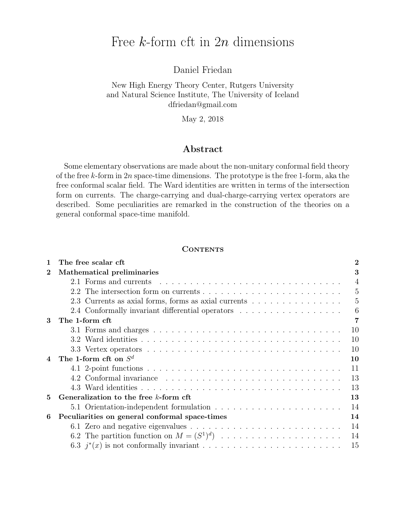# Free k-form cft in 2n dimensions

Daniel Friedan

## New High Energy Theory Center, Rutgers University and Natural Science Institute, The University of Iceland dfriedan@gmail.com

May 2, 2018

### Abstract

Some elementary observations are made about the non-unitary conformal field theory of the free  $k$ -form in  $2n$  space-time dimensions. The prototype is the free 1-form, aka the free conformal scalar field. The Ward identities are written in terms of the intersection form on currents. The charge-carrying and dual-charge-carrying vertex operators are described. Some peculiarities are remarked in the construction of the theories on a general conformal space-time manifold.

### **CONTENTS**

| $\mathbf{1}$   | The free scalar cft                                  | 2              |
|----------------|------------------------------------------------------|----------------|
| $\mathbf 2$    | Mathematical preliminaries                           | 3              |
|                |                                                      | $\overline{4}$ |
|                |                                                      | 5              |
|                | 2.3 Currents as axial forms, forms as axial currents | 5              |
|                | 2.4 Conformally invariant differential operators     | 6              |
| 3              | The 1-form cft                                       | 7              |
|                |                                                      | 10             |
|                |                                                      | 10             |
|                |                                                      | 10             |
| $\overline{4}$ | The 1-form cft on $S^d$                              | 10             |
|                |                                                      | 11             |
|                |                                                      | 13             |
|                |                                                      | 13             |
| 5              | Generalization to the free k-form cft                | 13             |
|                |                                                      | 14             |
| 6              | Peculiarities on general conformal space-times       | 14             |
|                |                                                      | 14             |
|                |                                                      | 14             |
|                |                                                      | 15             |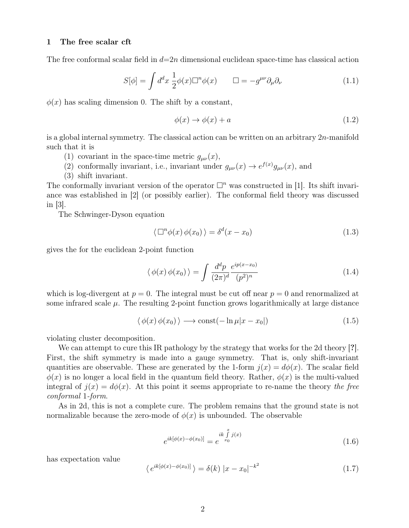#### 1 The free scalar cft

The free conformal scalar field in  $d=2n$  dimensional euclidean space-time has classical action

$$
S[\phi] = \int d^d x \; \frac{1}{2} \phi(x) \Box^n \phi(x) \qquad \Box = -g^{\mu\nu} \partial_\mu \partial_\nu \tag{1.1}
$$

 $\phi(x)$  has scaling dimension 0. The shift by a constant,

$$
\phi(x) \to \phi(x) + a \tag{1.2}
$$

is a global internal symmetry. The classical action can be written on an arbitrary 2n-manifold such that it is

- (1) covariant in the space-time metric  $g_{\mu\nu}(x)$ ,
- (2) conformally invariant, i.e., invariant under  $g_{\mu\nu}(x) \to e^{f(x)} g_{\mu\nu}(x)$ , and
- (3) shift invariant.

The conformally invariant version of the operator  $\Box^n$  was constructed in [1]. Its shift invariance was established in [2] (or possibly earlier). The conformal field theory was discussed in [3].

The Schwinger-Dyson equation

$$
\langle \Box^n \phi(x) \phi(x_0) \rangle = \delta^d(x - x_0)
$$
\n(1.3)

gives the for the euclidean 2-point function

$$
\langle \phi(x) \phi(x_0) \rangle = \int \frac{d^d p}{(2\pi)^d} \frac{e^{ip(x-x_0)}}{(p^2)^n}
$$
 (1.4)

which is log-divergent at  $p = 0$ . The integral must be cut off near  $p = 0$  and renormalized at some infrared scale  $\mu$ . The resulting 2-point function grows logarithmically at large distance

$$
\langle \phi(x)\,\phi(x_0) \rangle \longrightarrow \text{const}(-\ln \mu |x - x_0|) \tag{1.5}
$$

violating cluster decomposition.

We can attempt to cure this IR pathology by the strategy that works for the 2d theory [?]. First, the shift symmetry is made into a gauge symmetry. That is, only shift-invariant quantities are observable. These are generated by the 1-form  $j(x) = d\phi(x)$ . The scalar field  $\phi(x)$  is no longer a local field in the quantum field theory. Rather,  $\phi(x)$  is the multi-valued integral of  $j(x) = d\phi(x)$ . At this point it seems appropriate to re-name the theory the free conformal 1-form.

As in 2d, this is not a complete cure. The problem remains that the ground state is not normalizable because the zero-mode of  $\phi(x)$  is unbounded. The observable

$$
e^{ik[\phi(x) - \phi(x_0)]} = e^{\int_{x_0}^{x} \int_{x_0}^{x} j(x)} \tag{1.6}
$$

has expectation value

$$
\langle e^{ik[\phi(x) - \phi(x_0)]} \rangle = \delta(k) |x - x_0|^{-k^2}
$$
\n(1.7)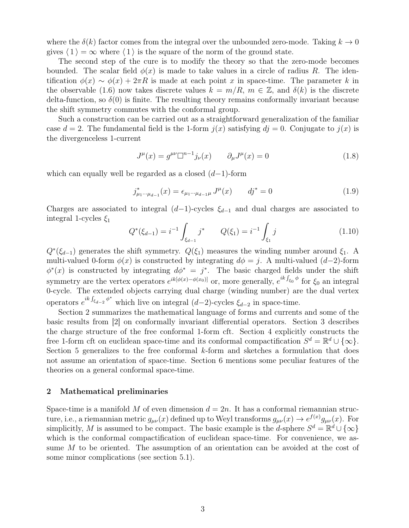where the  $\delta(k)$  factor comes from the integral over the unbounded zero-mode. Taking  $k \to 0$ gives  $\langle 1 \rangle = \infty$  where  $\langle 1 \rangle$  is the square of the norm of the ground state.

The second step of the cure is to modify the theory so that the zero-mode becomes bounded. The scalar field  $\phi(x)$  is made to take values in a circle of radius R. The identification  $\phi(x) \sim \phi(x) + 2\pi R$  is made at each point x in space-time. The parameter k in the observable (1.6) now takes discrete values  $k = m/R$ ,  $m \in \mathbb{Z}$ , and  $\delta(k)$  is the discrete delta-function, so  $\delta(0)$  is finite. The resulting theory remains conformally invariant because the shift symmetry commutes with the conformal group.

Such a construction can be carried out as a straightforward generalization of the familiar case  $d = 2$ . The fundamental field is the 1-form  $j(x)$  satisfying  $dj = 0$ . Conjugate to  $j(x)$  is the divergenceless 1-current

$$
J^{\mu}(x) = g^{\mu\nu} \Box^{n-1} j_{\nu}(x) \qquad \partial_{\mu} J^{\mu}(x) = 0 \qquad (1.8)
$$

which can equally well be regarded as a closed  $(d-1)$ -form

$$
j_{\mu_1 \cdots \mu_{d-1}}^*(x) = \epsilon_{\mu_1 \cdots \mu_{d-1} \mu} J^{\mu}(x) \qquad dj^* = 0 \qquad (1.9)
$$

Charges are associated to integral  $(d-1)$ -cycles  $\xi_{d-1}$  and dual charges are associated to integral 1-cycles  $\xi_1$ 

$$
Q^*(\xi_{d-1}) = i^{-1} \int_{\xi_{d-1}} j^* \qquad Q(\xi_1) = i^{-1} \int_{\xi_1} j \tag{1.10}
$$

 $Q^*(\xi_{d-1})$  generates the shift symmetry.  $Q(\xi_1)$  measures the winding number around  $\xi_1$ . A multi-valued 0-form  $\phi(x)$  is constructed by integrating  $d\phi = j$ . A multi-valued (d–2)-form  $\phi^*(x)$  is constructed by integrating  $d\phi^* = j^*$ . The basic charged fields under the shift symmetry are the vertex operators  $e^{ik[\phi(x)-\phi(x_0)]}$  or, more generally,  $e^{ik\int_{\xi_0}\phi}$  for  $\xi_0$  an integral 0-cycle. The extended objects carrying dual charge (winding number) are the dual vertex operators  $e^{ik \int_{\xi_{d-2}} \phi^*}$  which live on integral  $(d-2)$ -cycles  $\xi_{d-2}$  in space-time.

Section 2 summarizes the mathematical language of forms and currents and some of the basic results from [2] on conformally invariant differential operators. Section 3 describes the charge structure of the free conformal 1-form cft. Section 4 explicitly constructs the free 1-form cft on euclidean space-time and its conformal compactification  $S^d = \mathbb{R}^d \cup \{\infty\}.$ Section 5 generalizes to the free conformal  $k$ -form and sketches a formulation that does not assume an orientation of space-time. Section 6 mentions some peculiar features of the theories on a general conformal space-time.

#### 2 Mathematical preliminaries

Space-time is a manifold M of even dimension  $d = 2n$ . It has a conformal riemannian structure, i.e., a riemannian metric  $g_{\mu\nu}(x)$  defined up to Weyl transforms  $g_{\mu\nu}(x) \to e^{f(x)} g_{\mu\nu}(x)$ . For simplicitly, M is assumed to be compact. The basic example is the d-sphere  $S^d = \mathbb{R}^d \cup \{\infty\}$ which is the conformal compactification of euclidean space-time. For convenience, we assume M to be oriented. The assumption of an orientation can be avoided at the cost of some minor complications (see section 5.1).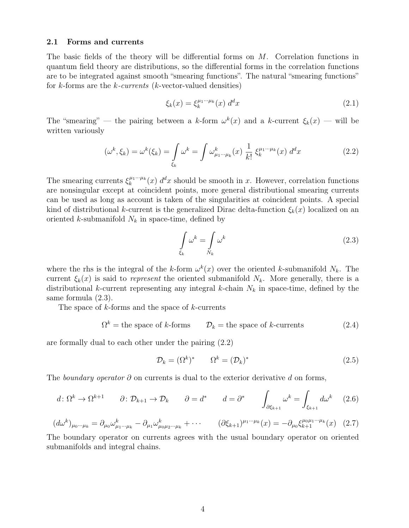#### 2.1 Forms and currents

The basic fields of the theory will be differential forms on M. Correlation functions in quantum field theory are distributions, so the differential forms in the correlation functions are to be integrated against smooth "smearing functions". The natural "smearing functions" for k-forms are the k-currents (k-vector-valued densities)

$$
\xi_k(x) = \xi_k^{\mu_1 \cdots \mu_k}(x) \, d^d x \tag{2.1}
$$

The "smearing" — the pairing between a k-form  $\omega^k(x)$  and a k-current  $\xi_k(x)$  — will be written variously

$$
(\omega^k, \xi_k) = \omega^k(\xi_k) = \int_{\xi_k} \omega^k = \int \omega^k_{\mu_1 \cdots \mu_k}(x) \frac{1}{k!} \xi_k^{\mu_1 \cdots \mu_k}(x) d^d x \tag{2.2}
$$

The smearing currents  $\xi_k^{\mu_1\cdots\mu_k}$  $\int_k^{\mu_1 \cdots \mu_k}(x) d^d x$  should be smooth in x. However, correlation functions are nonsingular except at coincident points, more general distributional smearing currents can be used as long as account is taken of the singularities at coincident points. A special kind of distributional k-current is the generalized Dirac delta-function  $\xi_k(x)$  localized on an oriented k-submanifold  $N_k$  in space-time, defined by

$$
\int_{\xi_k} \omega^k = \int_{N_k} \omega^k \tag{2.3}
$$

where the rhs is the integral of the k-form  $\omega^k(x)$  over the oriented k-submanifold  $N_k$ . The current  $\xi_k(x)$  is said to represent the oriented submanifold  $N_k$ . More generally, there is a distributional k-current representing any integral k-chain  $N_k$  in space-time, defined by the same formula (2.3).

The space of  $k$ -forms and the space of  $k$ -currents

$$
\Omega^k = \text{the space of } k \text{-forms} \qquad \mathcal{D}_k = \text{the space of } k \text{-currents} \tag{2.4}
$$

are formally dual to each other under the pairing (2.2)

$$
\mathcal{D}_k = (\Omega^k)^* \qquad \Omega^k = (\mathcal{D}_k)^* \tag{2.5}
$$

The boundary operator  $\partial$  on currents is dual to the exterior derivative d on forms,

$$
d \colon \Omega^k \to \Omega^{k+1} \qquad \partial \colon \mathcal{D}_{k+1} \to \mathcal{D}_k \qquad \partial = d^* \qquad d = \partial^* \qquad \int_{\partial \xi_{k+1}} \omega^k = \int_{\xi_{k+1}} d\omega^k \qquad (2.6)
$$

$$
(d\omega^k)_{\mu_0\cdots\mu_k} = \partial_{\mu_0}\omega^k_{\mu_1\cdots\mu_k} - \partial_{\mu_1}\omega^k_{\mu_0\mu_2\cdots\mu_k} + \cdots \qquad (\partial \xi_{k+1})^{\mu_1\cdots\mu_k}(x) = -\partial_{\mu_0}\xi_{k+1}^{\mu_0\mu_1\cdots\mu_k}(x) \tag{2.7}
$$

The boundary operator on currents agrees with the usual boundary operator on oriented submanifolds and integral chains.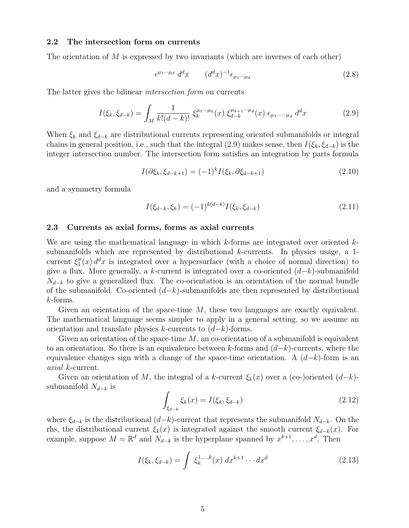### 2.2 The intersection form on currents

The orientation of  $M$  is expressed by two invariants (which are inverses of each other)

$$
\epsilon^{\mu_1 \cdots \mu_d} d^d x \qquad (d^d x)^{-1} \epsilon_{\mu_1 \cdots \mu_d} \tag{2.8}
$$

The latter gives the bilinear intersection form on currents

$$
I(\xi_k, \xi_{d-k}) = \int_M \frac{1}{k!(d-k)!} \xi_k^{\mu_1 \cdots \mu_k}(x) \xi_{d-k}^{\mu_{k+1} \cdots \mu_d}(x) \epsilon_{\mu_1 \cdots \mu_d} d^d x \tag{2.9}
$$

When  $\xi_k$  and  $\xi_{d-k}$  are distributional currents representing oriented submanifolds or integral chains in general position, i.e., such that the integral (2.9) makes sense, then  $I(\xi_k, \xi_{d-k})$  is the integer intersection number. The intersection form satisfies an integration by parts formula

$$
I(\partial \xi_k, \xi_{d-k+1}) = (-1)^k I(\xi_k, \partial \xi_{d-k+1})
$$
\n(2.10)

and a symmetry formula

$$
I(\xi_{d-k}, \xi_k) = (-1)^{k(d-k)} I(\xi_k, \xi_{d-k})
$$
\n(2.11)

### 2.3 Currents as axial forms, forms as axial currents

We are using the mathematical language in which  $k$ -forms are integrated over oriented  $k$ submanifolds which are represented by distributional k-currents. In physics usage, a 1 current  $\xi_1^{\mu}$  $\int_{1}^{\mu}(x) d^dx$  is integrated over a hypersurface (with a choice of normal direction) to give a flux. More generally, a k-current is integrated over a co-oriented  $(d-k)$ -submanifold  $N_{d-k}$  to give a generalized flux. The co-orientation is an orientation of the normal bundle of the submanifold. Co-oriented  $(d-k)$ -submanifolds are then represented by distributional k-forms.

Given an orientation of the space-time  $M$ , these two languages are exactly equivalent. The mathematical language seems simpler to apply in a general setting, so we assume an orientation and translate physics k-currents to  $(d-k)$ -forms.

Given an orientation of the space-time  $M$ , an co-orientation of a submanifold is equivalent to an orientation. So there is an equivalence between k-forms and  $(d-k)$ -currents, where the equivalence changes sign with a change of the space-time orientation. A  $(d-k)$ -form is an axial k-current.

Given an orientation of M, the integral of a k-current  $\xi_k(x)$  over a (co-)oriented  $(d-k)$ submanifold  $N_{d-k}$  is

$$
\int_{\xi_{d-k}} \xi_k(x) = I(\xi_k, \xi_{d-k})
$$
\n(2.12)

where  $\xi_{d-k}$  is the distributional  $(d-k)$ -current that represents the submanifold  $N_{d-k}$ . On the rhs, the distributional current  $\xi_k(x)$  is integrated against the smooth current  $\xi_{d-k}(x)$ . For example, suppose  $M = \mathbb{R}^d$  and  $N_{d-k}$  is the hyperplane spanned by  $x^{k+1}, \ldots, x^d$ . Then

$$
I(\xi_k, \xi_{d-k}) = \int \xi_k^{1,\dots,k}(x) dx^{k+1} \cdots dx^d
$$
 (2.13)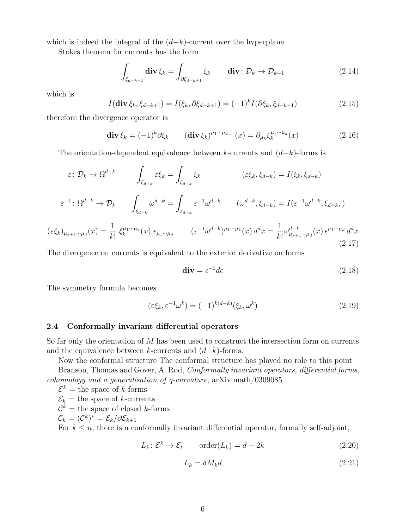which is indeed the integral of the  $(d-k)$ -current over the hyperplane.

Stokes theorem for currents has the form

$$
\int_{\xi_{d-k+1}} \operatorname{div} \xi_k = \int_{\partial \xi_{d-k+1}} \xi_k \qquad \operatorname{div} : \mathcal{D}_k \to \mathcal{D}_{k-1} \tag{2.14}
$$

which is

$$
I(\text{div}\,\xi_k,\xi_{d-k+1}) = I(\xi_k,\partial\xi_{d-k+1}) = (-1)^k I(\partial\xi_k,\xi_{d-k+1})
$$
\n(2.15)

therefore the divergence operator is

$$
\operatorname{div}\xi_k = (-1)^k \partial \xi_k \qquad (\operatorname{div}\xi_k)^{\mu_1 \cdots \mu_{k-1}}(x) = \partial_{\mu_k} \xi_k^{\mu_1 \cdots \mu_k}(x) \tag{2.16}
$$

The orientation-dependent equivalence between k-currents and  $(d-k)$ -forms is

$$
\varepsilon: \mathcal{D}_k \to \Omega^{d-k} \qquad \int_{\xi_{d-k}} \varepsilon \xi_k = \int_{\xi_{d-k}} \xi_k \qquad (\varepsilon \xi_k, \xi_{d-k}) = I(\xi_k, \xi_{d-k})
$$

$$
\varepsilon^{-1}: \Omega^{d-k} \to \mathcal{D}_k \qquad \int_{\xi_{d-k}} \omega^{d-k} = \int_{\xi_{d-k}} \varepsilon^{-1} \omega^{d-k} \qquad (\omega^{d-k}, \xi_{d-k}) = I(\varepsilon^{-1} \omega^{d-k}, \xi_{d-k},)
$$

$$
(\varepsilon \xi_k)_{\mu_{k+1} \cdots \mu_d}(x) = \frac{1}{k!} \xi_k^{\mu_1 \cdots \mu_k}(x) \epsilon_{\mu_1 \cdots \mu_d} \qquad (\varepsilon^{-1} \omega^{d-k})^{\mu_1 \cdots \mu_k}(x) d^d x = \frac{1}{k!} \omega_{\mu_{k+1} \cdots \mu_d}^{d-k}(x) \epsilon^{\mu_1 \cdots \mu_d} d^d x
$$
(2.17)

The divergence on currents is equivalent to the exterior derivative on forms

$$
\mathbf{div} = \epsilon^{-1} d\epsilon \tag{2.18}
$$

The symmetry formula becomes

$$
(\varepsilon \xi_k, \varepsilon^{-1} \omega^k) = (-1)^{k(d-k)} (\xi_k, \omega^k)
$$
\n(2.19)

#### 2.4 Conformally invariant differential operators

So far only the orientation of M has been used to construct the intersection form on currents and the equivalence between k-currents and  $(d-k)$ -forms.

Now the conformal structure The conformal structure has played no role to this point

Branson, Thomas and Gover, A. Rod, Conformally invariant operators, differential forms, cohomology and a generalisation of q-curvature, arXiv:math/0309085

 $\mathcal{E}^k =$  the space of k-forms

 $\mathcal{E}_k =$  the space of k-currents

 $\mathcal{C}^k = \text{the space of closed } k\text{-forms}$ 

$$
\mathcal{C}_k = (\mathcal{C}^k)^* = \mathcal{E}_k/\partial \mathcal{E}_{k+1}
$$

For  $k \leq n$ , there is a conformally invariant differential operator, formally self-adjoint,

$$
L_k: \mathcal{E}^k \to \mathcal{E}_k \qquad \text{order}(L_k) = d - 2k \tag{2.20}
$$

$$
L_k = \delta M_k d \tag{2.21}
$$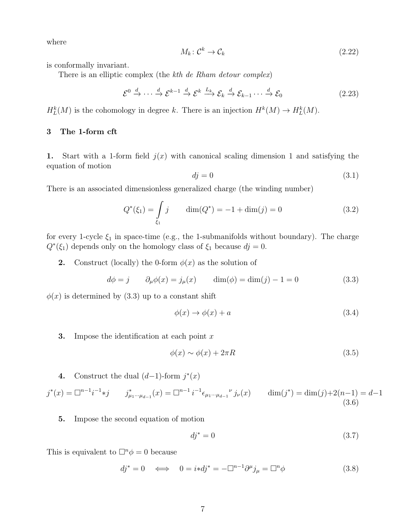where

$$
M_k: \mathcal{C}^k \to \mathcal{C}_k \tag{2.22}
$$

is conformally invariant.

There is an elliptic complex (the kth de Rham detour complex)

$$
\mathcal{E}^0 \xrightarrow{d} \cdots \xrightarrow{d} \mathcal{E}^{k-1} \xrightarrow{d} \mathcal{E}^k \xrightarrow{L_k} \mathcal{E}_k \xrightarrow{d} \mathcal{E}_{k-1} \cdots \xrightarrow{d} \mathcal{E}_0
$$
 (2.23)

 $H_L^k(M)$  is the cohomology in degree k. There is an injection  $H^k(M) \to H_L^k(M)$ .

### 3 The 1-form cft

1. Start with a 1-form field  $j(x)$  with canonical scaling dimension 1 and satisfying the equation of motion

$$
dj = 0 \tag{3.1}
$$

There is an associated dimensionless generalized charge (the winding number)

$$
Q^*(\xi_1) = \int_{\xi_1} j \qquad \dim(Q^*) = -1 + \dim(j) = 0 \tag{3.2}
$$

for every 1-cycle  $\xi_1$  in space-time (e.g., the 1-submanifolds without boundary). The charge  $Q^*(\xi_1)$  depends only on the homology class of  $\xi_1$  because  $dj = 0$ .

**2.** Construct (locally) the 0-form  $\phi(x)$  as the solution of

$$
d\phi = j \qquad \partial_{\mu}\phi(x) = j_{\mu}(x) \qquad \dim(\phi) = \dim(j) - 1 = 0 \tag{3.3}
$$

 $\phi(x)$  is determined by (3.3) up to a constant shift

$$
\phi(x) \to \phi(x) + a \tag{3.4}
$$

**3.** Impose the identification at each point  $x$ 

$$
\phi(x) \sim \phi(x) + 2\pi R \tag{3.5}
$$

4. Construct the dual  $(d-1)$ -form  $j^*(x)$ 

$$
j^*(x) = \Box^{n-1} i^{-1} * j \qquad j^*_{\mu_1 \cdots \mu_{d-1}}(x) = \Box^{n-1} i^{-1} \epsilon_{\mu_1 \cdots \mu_{d-1}}{}^\nu j_\nu(x) \qquad \dim(j^*) = \dim(j) + 2(n-1) = d-1
$$
\n(3.6)

5. Impose the second equation of motion

$$
dj^* = 0 \tag{3.7}
$$

This is equivalent to  $\Box^n \phi = 0$  because

$$
dj^* = 0 \iff 0 = i * dj^* = -\Box^{n-1} \partial^{\mu} j_{\mu} = \Box^n \phi \tag{3.8}
$$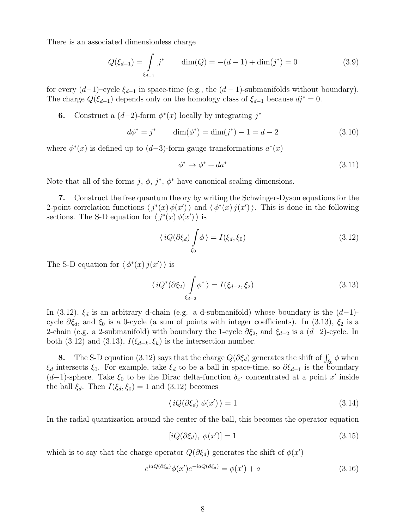There is an associated dimensionless charge

$$
Q(\xi_{d-1}) = \int\limits_{\xi_{d-1}} j^* \qquad \dim(Q) = -(d-1) + \dim(j^*) = 0 \tag{3.9}
$$

for every  $(d-1)$ –cycle  $\xi_{d-1}$  in space-time (e.g., the  $(d-1)$ -submanifolds without boundary). The charge  $Q(\xi_{d-1})$  depends only on the homology class of  $\xi_{d-1}$  because  $dj^* = 0$ .

**6.** Construct a  $(d-2)$ -form  $\phi^*(x)$  locally by integrating j<sup>\*</sup>

$$
d\phi^* = j^* \qquad \dim(\phi^*) = \dim(j^*) - 1 = d - 2 \tag{3.10}
$$

where  $\phi^*(x)$  is defined up to  $(d-3)$ -form gauge transformations  $a^*(x)$ 

$$
\phi^* \to \phi^* + da^* \tag{3.11}
$$

Note that all of the forms  $j, \phi, j^*, \phi^*$  have canonical scaling dimensions.

7. Construct the free quantum theory by writing the Schwinger-Dyson equations for the 2-point correlation functions  $\langle j^*(x) \phi(x') \rangle$  and  $\langle \phi^*(x) j(x') \rangle$ . This is done in the following sections. The S-D equation for  $\langle j^*(x) \phi(x') \rangle$  is

$$
\langle iQ(\partial \xi_d) \int_{\xi_0} \phi \rangle = I(\xi_d, \xi_0) \tag{3.12}
$$

The S-D equation for  $\langle \phi^*(x) j(x') \rangle$  is

$$
\langle iQ^*(\partial \xi_2) \int_{\xi_{d-2}} \phi^* \rangle = I(\xi_{d-2}, \xi_2)
$$
\n(3.13)

In (3.12),  $\xi_d$  is an arbitrary d-chain (e.g. a d-submanifold) whose boundary is the  $(d-1)$ cycle  $\partial \xi_d$ , and  $\xi_0$  is a 0-cycle (a sum of points with integer coefficients). In (3.13),  $\xi_2$  is a 2-chain (e.g. a 2-submanifold) with boundary the 1-cycle  $\partial \xi_2$ , and  $\xi_{d-2}$  is a  $(d-2)$ -cycle. In both (3.12) and (3.13),  $I(\xi_{d-k}, \xi_k)$  is the intersection number.

8. The S-D equation (3.12) says that the charge  $Q(\partial \xi_d)$  generates the shift of  $\int_{\xi_0} \phi$  when  $\xi_d$  intersects  $\xi_0$ . For example, take  $\xi_d$  to be a ball in space-time, so  $\partial \xi_{d-1}$  is the boundary  $(d-1)$ -sphere. Take  $\xi_0$  to be the Dirac delta-function  $\delta_{x'}$  concentrated at a point x' inside the ball  $\xi_d$ . Then  $I(\xi_d, \xi_0) = 1$  and  $(3.12)$  becomes

$$
\langle iQ(\partial \xi_d) \phi(x') \rangle = 1 \tag{3.14}
$$

In the radial quantization around the center of the ball, this becomes the operator equation

$$
[iQ(\partial \xi_d), \phi(x')] = 1 \tag{3.15}
$$

which is to say that the charge operator  $Q(\partial \xi_d)$  generates the shift of  $\phi(x')$ 

$$
e^{iaQ(\partial \xi_d)}\phi(x')e^{-iaQ(\partial \xi_d)} = \phi(x') + a \tag{3.16}
$$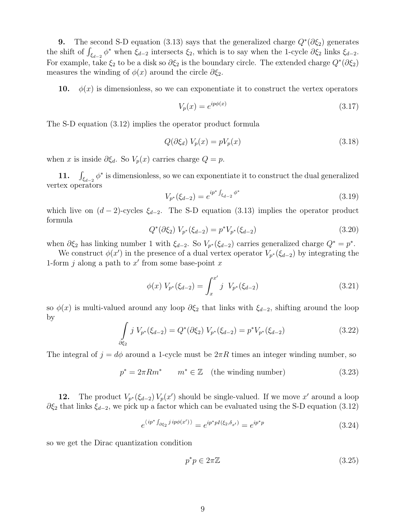**9.** The second S-D equation (3.13) says that the generalized charge  $Q^*(\partial \xi_2)$  generates the shift of  $\int_{\xi_{d-2}} \phi^*$  when  $\xi_{d-2}$  intersects  $\xi_2$ , which is to say when the 1-cycle  $\partial \xi_2$  links  $\xi_{d-2}$ . For example, take  $\xi_2$  to be a disk so  $\partial \xi_2$  is the boundary circle. The extended charge  $Q^*(\partial \xi_2)$ measures the winding of  $\phi(x)$  around the circle  $\partial \xi_2$ .

10.  $\phi(x)$  is dimensionless, so we can exponentiate it to construct the vertex operators

$$
V_p(x) = e^{ip\phi(x)}\tag{3.17}
$$

The S-D equation (3.12) implies the operator product formula

$$
Q(\partial \xi_d) V_p(x) = pV_p(x) \tag{3.18}
$$

when x is inside  $\partial \xi_d$ . So  $V_p(x)$  carries charge  $Q = p$ .

11.  $\int_{\xi_{d-2}} \phi^*$  is dimensionless, so we can exponentiate it to construct the dual generalized vertex operators

$$
V_{p^*}(\xi_{d-2}) = e^{ip^* \int_{\xi_{d-2}} \phi^*}
$$
\n(3.19)

which live on  $(d-2)$ -cycles  $\xi_{d-2}$ . The S-D equation (3.13) implies the operator product formula

$$
Q^*(\partial \xi_2) V_{p^*}(\xi_{d-2}) = p^* V_{p^*}(\xi_{d-2})
$$
\n(3.20)

when  $\partial \xi_2$  has linking number 1 with  $\xi_{d-2}$ . So  $V_{p^*}(\xi_{d-2})$  carries generalized charge  $Q^* = p^*$ .

We construct  $\phi(x')$  in the presence of a dual vertex operator  $V_{p^*}(\xi_{d-2})$  by integrating the 1-form  $j$  along a path to  $x'$  from some base-point  $x$ 

$$
\phi(x) V_{p^*}(\xi_{d-2}) = \int_x^{x'} j V_{p^*}(\xi_{d-2})
$$
\n(3.21)

so  $\phi(x)$  is multi-valued around any loop  $\partial \xi_2$  that links with  $\xi_{d-2}$ , shifting around the loop by

$$
\int_{\partial \xi_2} j \ V_{p^*}(\xi_{d-2}) = Q^*(\partial \xi_2) \ V_{p^*}(\xi_{d-2}) = p^* V_{p^*}(\xi_{d-2}) \tag{3.22}
$$

The integral of  $j = d\phi$  around a 1-cycle must be  $2\pi R$  times an integer winding number, so

$$
p^* = 2\pi Rm^* \qquad m^* \in \mathbb{Z} \quad \text{(the winding number)} \tag{3.23}
$$

12. The product  $V_{p^*}(\xi_{d-2}) V_p(x')$  should be single-valued. If we move x' around a loop  $\partial \xi_2$  that links  $\xi_{d-2}$ , we pick up a factor which can be evaluated using the S-D equation (3.12)

$$
e^{\langle ip^* \int_{\partial \xi_2} j \, ip\phi(x')\rangle} = e^{ip^*pI(\xi_2, \delta_{x'})} = e^{ip^*p} \tag{3.24}
$$

so we get the Dirac quantization condition

$$
p^*p \in 2\pi \mathbb{Z} \tag{3.25}
$$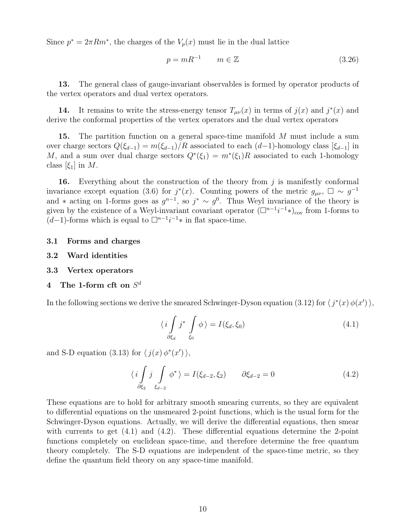Since  $p^* = 2\pi Rm^*$ , the charges of the  $V_p(x)$  must lie in the dual lattice

$$
p = mR^{-1} \qquad m \in \mathbb{Z} \tag{3.26}
$$

13. The general class of gauge-invariant observables is formed by operator products of the vertex operators and dual vertex operators.

14. It remains to write the stress-energy tensor  $T_{\mu\nu}(x)$  in terms of  $j(x)$  and  $j^*(x)$  and derive the conformal properties of the vertex operators and the dual vertex operators

**15.** The partition function on a general space-time manifold M must include a sum over charge sectors  $Q(\xi_{d-1}) = m(\xi_{d-1})/R$  associated to each  $(d-1)$ -homology class  $[\xi_{d-1}]$  in M, and a sum over dual charge sectors  $Q^*(\xi_1) = m^*(\xi_1)R$  associated to each 1-homology class  $[\xi_1]$  in M.

16. Everything about the construction of the theory from j is manifestly conformal invariance except equation (3.6) for  $j^*(x)$ . Counting powers of the metric  $g_{\mu\nu}$ ,  $\square \sim g^{-1}$ and \* acting on 1-forms goes as  $g^{n-1}$ , so  $j^* \sim g^0$ . Thus Weyl invariance of the theory is given by the existence of a Weyl-invariant covariant operator  $(\Box^{n-1}i^{-1}*)_{\text{cov}}$  from 1-forms to  $(d-1)$ -forms which is equal to  $\square^{n-1}i^{-1}$ \* in flat space-time.

- 3.1 Forms and charges
- 3.2 Ward identities
- 3.3 Vertex operators

### $4$  The 1-form cft on  $S^d$

In the following sections we derive the smeared Schwinger-Dyson equation (3.12) for  $\langle j^*(x) \phi(x') \rangle$ ,

$$
\langle i \int_{\partial \xi_d} j^* \int_{\xi_0} \phi \rangle = I(\xi_d, \xi_0) \tag{4.1}
$$

and S-D equation (3.13) for  $\langle j(x) \phi^*(x') \rangle$ ,

$$
\langle i \int_{\partial \xi_2} j \int_{\xi_{d-2}} \phi^* \rangle = I(\xi_{d-2}, \xi_2) \qquad \partial \xi_{d-2} = 0 \tag{4.2}
$$

These equations are to hold for arbitrary smooth smearing currents, so they are equivalent to differential equations on the unsmeared 2-point functions, which is the usual form for the Schwinger-Dyson equations. Actually, we will derive the differential equations, then smear with currents to get  $(4.1)$  and  $(4.2)$ . These differential equations determine the 2-point functions completely on euclidean space-time, and therefore determine the free quantum theory completely. The S-D equations are independent of the space-time metric, so they define the quantum field theory on any space-time manifold.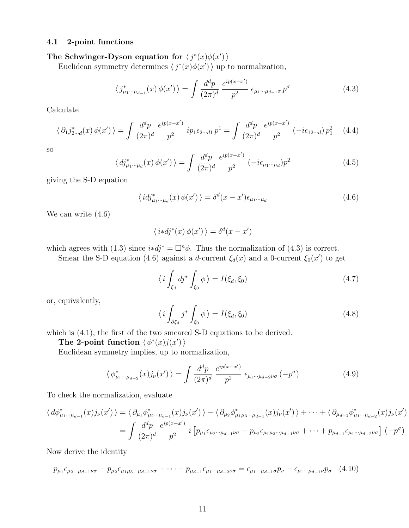### 4.1 2-point functions

### The Schwinger-Dyson equation for  $\langle j^*(x)\phi(x')\rangle$

Euclidean symmetry determines  $\langle j^*(x)\phi(x')\rangle$  up to normalization,

$$
\langle j_{\mu_1\cdots\mu_{d-1}}^*(x)\,\phi(x')\,\rangle = \int \frac{d^d p}{(2\pi)^d} \, \frac{e^{ip(x-x')}}{p^2} \,\epsilon_{\mu_1\cdots\mu_{d-1}\sigma} \, p^{\sigma} \tag{4.3}
$$

Calculate

$$
\langle \partial_1 j_{2\cdots d}^*(x) \phi(x') \rangle = \int \frac{d^d p}{(2\pi)^d} \frac{e^{ip(x-x')}}{p^2} i p_1 \epsilon_{2\cdots d1} p^1 = \int \frac{d^d p}{(2\pi)^d} \frac{e^{ip(x-x')}}{p^2} \left( -i \epsilon_{12\cdots d} \right) p_1^2 \tag{4.4}
$$

so

$$
\langle d\mathbf{j}_{\mu_1\cdots\mu_d}^*(x)\,\phi(x')\,\rangle = \int \frac{d^d p}{(2\pi)^d} \,\frac{e^{ip(x-x')}}{p^2} \left(-i\epsilon_{\mu_1\cdots\mu_d}\right) p^2 \tag{4.5}
$$

giving the S-D equation

$$
\langle idj_{\mu_1\cdots\mu_d}^*(x)\,\phi(x')\,\rangle = \delta^d(x-x')\epsilon_{\mu_1\cdots\mu_d} \tag{4.6}
$$

We can write (4.6)

$$
\langle i * dj^*(x) \phi(x') \rangle = \delta^d(x - x')
$$

which agrees with (1.3) since  $i * d j^* = \Box^n \phi$ . Thus the normalization of (4.3) is correct.

Smear the S-D equation (4.6) against a d-current  $\xi_d(x)$  and a 0-current  $\xi_0(x')$  to get

$$
\langle i \int_{\xi_d} dj^* \int_{\xi_0} \phi \rangle = I(\xi_d, \xi_0)
$$
\n(4.7)

or, equivalently,

$$
\langle i \int_{\partial \xi_d} j^* \int_{\xi_0} \phi \rangle = I(\xi_d, \xi_0)
$$
\n(4.8)

which is  $(4.1)$ , the first of the two smeared S-D equations to be derived.

The 2-point function  $\langle \phi^*(x) j(x') \rangle$ 

Euclidean symmetry implies, up to normalization,

$$
\langle \phi_{\mu_1 \cdots \mu_{d-2}}^*(x) j_{\nu}(x') \rangle = \int \frac{d^d p}{(2\pi)^d} \, \frac{e^{ip(x-x')}}{p^2} \, \epsilon_{\mu_1 \cdots \mu_{d-2}\nu\sigma} \left(-p^{\sigma}\right) \tag{4.9}
$$

To check the normalization, evaluate

$$
\langle d\phi_{\mu_1\cdots\mu_{d-1}}^*(x)j_{\nu}(x')\rangle = \langle \partial_{\mu_1}\phi_{\mu_2\cdots\mu_{d-1}}^*(x)j_{\nu}(x')\rangle - \langle \partial_{\mu_2}\phi_{\mu_1\mu_3\cdots\mu_{d-1}}^*(x)j_{\nu}(x')\rangle + \cdots + \langle \partial_{\mu_{d-1}}\phi_{\mu_1\cdots\mu_{d-2}}^*(x)j_{\nu}(x')\rangle
$$
  
= 
$$
\int \frac{d^dp}{(2\pi)^d} \frac{e^{ip(x-x')}}{p^2} i \left[p_{\mu_1}\epsilon_{\mu_2\cdots\mu_{d-1}\nu\sigma} - p_{\mu_2}\epsilon_{\mu_1\mu_3\cdots\mu_{d-1}\nu\sigma} + \cdots + p_{\mu_{d-1}}\epsilon_{\mu_1\cdots\mu_{d-2}\nu\sigma}\right] (-p^{\sigma})
$$

Now derive the identity

 $p_{\mu_1} \epsilon_{\mu_2 \cdots \mu_{d-1} \nu \sigma} - p_{\mu_2} \epsilon_{\mu_1 \mu_3 \cdots \mu_{d-1} \nu \sigma} + \cdots + p_{\mu_{d-1}} \epsilon_{\mu_1 \cdots \mu_{d-2} \nu \sigma} = \epsilon_{\mu_1 \cdots \mu_{d-1} \sigma} p_{\nu} - \epsilon_{\mu_1 \cdots \mu_{d-1} \nu} p_{\sigma}$  (4.10)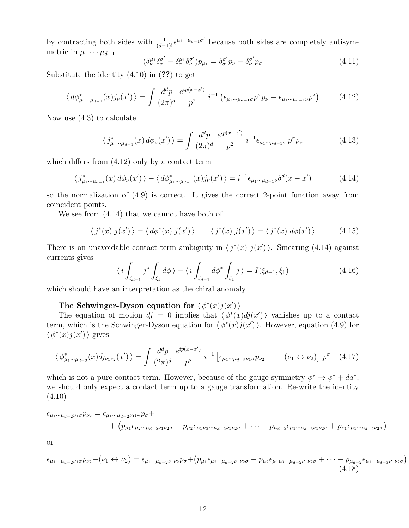by contracting both sides with  $\frac{1}{(d-1)!}e^{\mu_1 \cdots \mu_{d-1} \sigma'}$  because both sides are completely antisymmetric in  $\mu_1 \cdots \mu_{d-1}$ 

$$
(\delta_{\nu}^{\mu_1} \delta_{\sigma}^{\sigma'} - \delta_{\sigma}^{\mu_1} \delta_{\nu}^{\sigma'}) p_{\mu_1} = \delta_{\sigma}^{\sigma'} p_{\nu} - \delta_{\nu}^{\sigma'} p_{\sigma}
$$
\n(4.11)

Substitute the identity  $(4.10)$  in  $(?)$  to get

$$
\langle d\phi_{\mu_1\cdots\mu_{d-1}}^*(x)j_{\nu}(x')\rangle = \int \frac{d^d p}{(2\pi)^d} \frac{e^{ip(x-x')}}{p^2} i^{-1} \left(\epsilon_{\mu_1\cdots\mu_{d-1}\sigma} p^{\sigma} p_{\nu} - \epsilon_{\mu_1\cdots\mu_{d-1}\nu} p^2\right)
$$
(4.12)

Now use (4.3) to calculate

$$
\langle j_{\mu_1\cdots\mu_{d-1}}^*(x) d\phi_\nu(x') \rangle = \int \frac{d^d p}{(2\pi)^d} \frac{e^{ip(x-x')}}{p^2} i^{-1} \epsilon_{\mu_1\cdots\mu_{d-1}\sigma} p^\sigma p_\nu \tag{4.13}
$$

which differs from (4.12) only by a contact term

$$
\langle j_{\mu_1 \cdots \mu_{d-1}}^*(x) d\phi_\nu(x') \rangle - \langle d\phi_{\mu_1 \cdots \mu_{d-1}}^*(x) j_\nu(x') \rangle = i^{-1} \epsilon_{\mu_1 \cdots \mu_{d-1} \nu} \delta^d(x - x')
$$
(4.14)

so the normalization of (4.9) is correct. It gives the correct 2-point function away from coincident points.

We see from (4.14) that we cannot have both of

$$
\langle j^*(x) j(x') \rangle = \langle d\phi^*(x) j(x') \rangle \qquad \langle j^*(x) j(x') \rangle = \langle j^*(x) d\phi(x') \rangle \qquad (4.15)
$$

There is an unavoidable contact term ambiguity in  $\langle j^*(x) j(x') \rangle$ . Smearing (4.14) against currents gives

$$
\langle i \int_{\xi_{d-1}} j^* \int_{\xi_1} d\phi \rangle - \langle i \int_{\xi_{d-1}} d\phi^* \int_{\xi_1} j \rangle = I(\xi_{d-1}, \xi_1)
$$
\n(4.16)

which should have an interpretation as the chiral anomaly.

### The Schwinger-Dyson equation for  $\langle \phi^*(x) j(x') \rangle$

The equation of motion  $dj = 0$  implies that  $\langle \phi^*(x)dj(x')\rangle$  vanishes up to a contact term, which is the Schwinger-Dyson equation for  $\langle \phi^*(x) j(x') \rangle$ . However, equation (4.9) for  $\langle \phi^*(x) j(x') \rangle$  gives

$$
\langle \phi_{\mu_1 \cdots \mu_{d-2}}^*(x) d j_{\nu_1 \nu_2}(x') \rangle = \int \frac{d^d p}{(2\pi)^d} \frac{e^{ip(x-x')}}{p^2} i^{-1} \left[ \epsilon_{\mu_1 \cdots \mu_{d-2} \nu_1 \sigma} p_{\nu_2} \right] - (\nu_1 \leftrightarrow \nu_2) \right] p^{\sigma} \quad (4.17)
$$

which is not a pure contact term. However, because of the gauge symmetry  $\phi^* \to \phi^* + da^*$ , we should only expect a contact term up to a gauge transformation. Re-write the identity (4.10)

$$
\epsilon_{\mu_1\cdots\mu_{d-2}\nu_1\sigma}p_{\nu_2} = \epsilon_{\mu_1\cdots\mu_{d-2}\nu_1\nu_2}p_{\sigma} + + (p_{\mu_1}\epsilon_{\mu_2\cdots\mu_{d-2}\nu_1\nu_2\sigma} - p_{\mu_2}\epsilon_{\mu_1\mu_3\cdots\mu_{d-2}\nu_1\nu_2\sigma} + \cdots - p_{\mu_{d-2}}\epsilon_{\mu_1\cdots\mu_{d-3}\nu_1\nu_2\sigma} + p_{\nu_1}\epsilon_{\mu_1\cdots\mu_{d-2}\nu_2\sigma})
$$

or

$$
\epsilon_{\mu_1\cdots\mu_{d-2}\nu_1\sigma} p_{\nu_2} - (\nu_1 \leftrightarrow \nu_2) = \epsilon_{\mu_1\cdots\mu_{d-2}\nu_1\nu_2} p_{\sigma} + (p_{\mu_1}\epsilon_{\mu_2\cdots\mu_{d-2}\nu_1\nu_2\sigma} - p_{\mu_2}\epsilon_{\mu_1\mu_3\cdots\mu_{d-2}\nu_1\nu_2\sigma} + \cdots - p_{\mu_{d-2}}\epsilon_{\mu_1\cdots\mu_{d-3}\nu_1\nu_2\sigma})
$$
\n(4.18)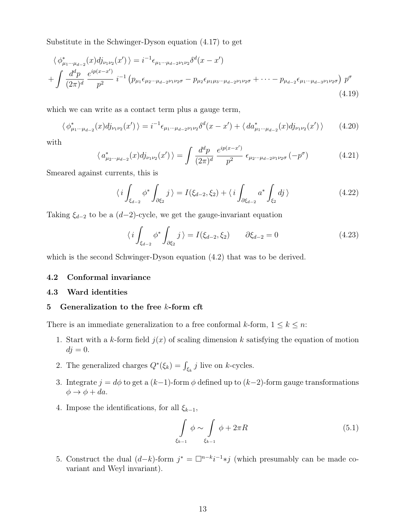Substitute in the Schwinger-Dyson equation (4.17) to get

$$
\langle \phi_{\mu_1 \cdots \mu_{d-2}}^*(x) d_{\nu_1 \nu_2}(x') \rangle = i^{-1} \epsilon_{\mu_1 \cdots \mu_{d-2} \nu_1 \nu_2} \delta^d(x - x')
$$
  
+ 
$$
\int \frac{d^d p}{(2\pi)^d} \frac{e^{ip(x - x')}}{p^2} i^{-1} \left( p_{\mu_1} \epsilon_{\mu_2 \cdots \mu_{d-2} \nu_1 \nu_2 \sigma} - p_{\mu_2} \epsilon_{\mu_1 \mu_3 \cdots \mu_{d-2} \nu_1 \nu_2 \sigma} + \cdots - p_{\mu_{d-2}} \epsilon_{\mu_1 \cdots \mu_{d-3} \nu_1 \nu_2 \sigma} \right) p^{\sigma}
$$
(4.19)

which we can write as a contact term plus a gauge term,

$$
\langle \phi_{\mu_1 \cdots \mu_{d-2}}^*(x) d j_{\nu_1 \nu_2}(x') \rangle = i^{-1} \epsilon_{\mu_1 \cdots \mu_{d-2} \nu_1 \nu_2} \delta^d(x - x') + \langle d a_{\mu_1 \cdots \mu_{d-2}}^*(x) d j_{\nu_1 \nu_2}(x') \rangle \tag{4.20}
$$

with

$$
\langle a_{\mu_2\cdots\mu_{d-2}}^*(x)dj_{\nu_1\nu_2}(x')\rangle = \int \frac{d^dp}{(2\pi)^d} \, \frac{e^{ip(x-x')}}{p^2} \, \epsilon_{\mu_2\cdots\mu_{d-2}\nu_1\nu_2\sigma} \, (-p^\sigma) \tag{4.21}
$$

Smeared against currents, this is

$$
\langle i \int_{\xi_{d-2}} \phi^* \int_{\partial \xi_2} j \rangle = I(\xi_{d-2}, \xi_2) + \langle i \int_{\partial \xi_{d-2}} a^* \int_{\xi_2} dj \rangle \tag{4.22}
$$

Taking  $\xi_{d-2}$  to be a  $(d-2)$ -cycle, we get the gauge-invariant equation

$$
\langle i \int_{\xi_{d-2}} \phi^* \int_{\partial \xi_2} j \rangle = I(\xi_{d-2}, \xi_2) \qquad \partial \xi_{d-2} = 0 \tag{4.23}
$$

which is the second Schwinger-Dyson equation  $(4.2)$  that was to be derived.

### 4.2 Conformal invariance

### 4.3 Ward identities

### 5 Generalization to the free  $k$ -form cft

There is an immediate generalization to a free conformal k-form,  $1 \leq k \leq n$ :

- 1. Start with a k-form field  $j(x)$  of scaling dimension k satisfying the equation of motion  $dj = 0.$
- 2. The generalized charges  $Q^*(\xi_k) = \int_{\xi_k} j$  live on k-cycles.
- 3. Integrate  $j = d\phi$  to get a  $(k-1)$ -form  $\phi$  defined up to  $(k-2)$ -form gauge transformations  $\phi \rightarrow \phi + da$ .
- 4. Impose the identifications, for all  $\xi_{k-1}$ ,

$$
\int\limits_{\xi_{k-1}} \phi \sim \int\limits_{\xi_{k-1}} \phi + 2\pi R \tag{5.1}
$$

5. Construct the dual  $(d-k)$ -form  $j^* = \Box^{n-k} i^{-1} * j$  (which presumably can be made covariant and Weyl invariant).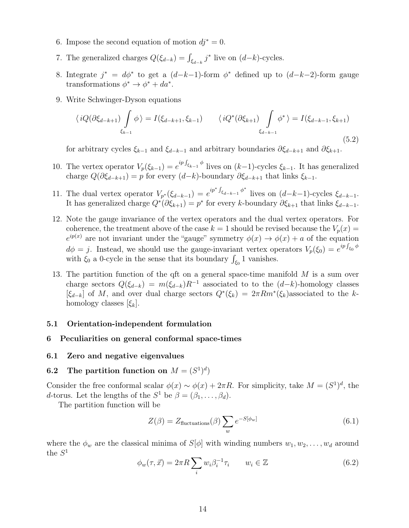- 6. Impose the second equation of motion  $dj^* = 0$ .
- 7. The generalized charges  $Q(\xi_{d-k}) = \int_{\xi_{d-k}} j^*$  live on  $(d-k)$ -cycles.
- 8. Integrate  $j^* = d\phi^*$  to get a  $(d-k-1)$ -form  $\phi^*$  defined up to  $(d-k-2)$ -form gauge transformations  $\phi^* \to \phi^* + da^*$ .
- 9. Write Schwinger-Dyson equations

$$
\langle iQ(\partial \xi_{d-k+1}) \int_{\xi_{k-1}} \phi \rangle = I(\xi_{d-k+1}, \xi_{k-1}) \qquad \langle iQ^*(\partial \xi_{k+1}) \int_{\xi_{d-k-1}} \phi^* \rangle = I(\xi_{d-k-1}, \xi_{k+1})
$$
\n(5.2)

for arbitrary cycles  $\xi_{k-1}$  and  $\xi_{d-k-1}$  and arbitrary boundaries  $\partial \xi_{d-k+1}$  and  $\partial \xi_{k+1}$ .

- 10. The vertex operator  $V_p(\xi_{k-1}) = e^{ip\int_{\xi_{k-1}} \phi}$  lives on  $(k-1)$ -cycles  $\xi_{k-1}$ . It has generalized charge  $Q(\partial \xi_{d-k+1}) = p$  for every  $(d-k)$ -boundary  $\partial \xi_{d-k+1}$  that links  $\xi_{k-1}$ .
- 11. The dual vertex operator  $V_{p^*}(\xi_{d-k-1}) = e^{ip^* \int_{\xi_{d-k-1}} \phi^*}$  lives on  $(d-k-1)$ -cycles  $\xi_{d-k-1}$ . It has generalized charge  $Q^*(\partial \xi_{k+1}) = p^*$  for every k-boundary  $\partial \xi_{k+1}$  that links  $\xi_{d-k-1}$ .
- 12. Note the gauge invariance of the vertex operators and the dual vertex operators. For coherence, the treatment above of the case  $k = 1$  should be revised because the  $V_p(x) =$  $e^{ip(x)}$  are not invariant under the "gauge" symmetry  $\phi(x) \to \phi(x) + a$  of the equation  $d\phi = j$ . Instead, we should use the gauge-invariant vertex operators  $V_p(\xi_0) = e^{ip \int_{\xi_0} \phi}$ with  $\xi_0$  a 0-cycle in the sense that its boundary  $\int_{\xi_0} 1$  vanishes.
- 13. The partition function of the qft on a general space-time manifold  $M$  is a sum over charge sectors  $Q(\xi_{d-k}) = m(\xi_{d-k})R^{-1}$  associated to to the  $(d-k)$ -homology classes  $[\xi_{d-k}]$  of M, and over dual charge sectors  $Q^*(\xi_k) = 2\pi Rm^*(\xi_k)$ associated to the khomology classes  $[\xi_k]$ .

### 5.1 Orientation-independent formulation

### 6 Peculiarities on general conformal space-times

### 6.1 Zero and negative eigenvalues

### 6.2 The partition function on  $M = (S^1)^d$

Consider the free conformal scalar  $\phi(x) \sim \phi(x) + 2\pi R$ . For simplicity, take  $M = (S^1)^d$ , the d-torus. Let the lengths of the  $S^1$  be  $\beta = (\beta_1, \ldots, \beta_d)$ .

The partition function will be

$$
Z(\beta) = Z_{\text{fluctuations}}(\beta) \sum_{w} e^{-S[\phi_w]}
$$
\n(6.1)

where the  $\phi_w$  are the classical minima of  $S[\phi]$  with winding numbers  $w_1, w_2, \ldots, w_d$  around the  $S^1$ 

$$
\phi_w(\tau, \vec{x}) = 2\pi R \sum_i w_i \beta_i^{-1} \tau_i \qquad w_i \in \mathbb{Z}
$$
\n(6.2)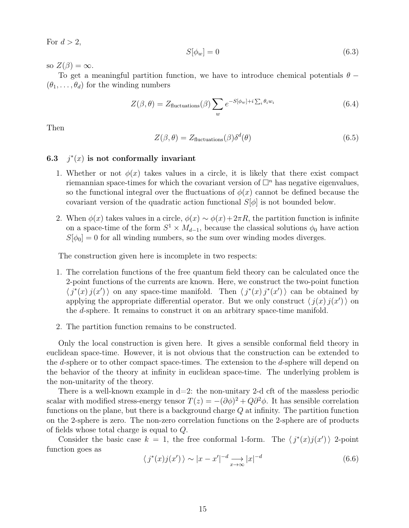For  $d > 2$ ,

$$
S[\phi_w] = 0 \tag{6.3}
$$

so  $Z(\beta) = \infty$ .

To get a meaningful partition function, we have to introduce chemical potentials  $\theta$  −  $(\theta_1, \ldots, \theta_d)$  for the winding numbers

$$
Z(\beta, \theta) = Z_{\text{fluctuations}}(\beta) \sum_{w} e^{-S[\phi_w] + i \sum_{i} \theta_i w_i}
$$
(6.4)

Then

$$
Z(\beta, \theta) = Z_{\text{fluctuations}}(\beta) \delta^{d}(\theta)
$$
\n(6.5)

#### 6.3 j  $*(x)$  is not conformally invariant

- 1. Whether or not  $\phi(x)$  takes values in a circle, it is likely that there exist compact riemannian space-times for which the covariant version of  $\Box^n$  has negative eigenvalues, so the functional integral over the fluctuations of  $\phi(x)$  cannot be defined because the covariant version of the quadratic action functional  $S[\phi]$  is not bounded below.
- 2. When  $\phi(x)$  takes values in a circle,  $\phi(x) \sim \phi(x) + 2\pi R$ , the partition function is infinite on a space-time of the form  $S^1 \times M_{d-1}$ , because the classical solutions  $\phi_0$  have action  $S[\phi_0] = 0$  for all winding numbers, so the sum over winding modes diverges.

The construction given here is incomplete in two respects:

- 1. The correlation functions of the free quantum field theory can be calculated once the 2-point functions of the currents are known. Here, we construct the two-point function  $\langle j^*(x) j(x') \rangle$  on any space-time manifold. Then  $\langle j^*(x) j^*(x') \rangle$  can be obtained by applying the appropriate differential operator. But we only construct  $\langle j(x) j(x') \rangle$  on the d-sphere. It remains to construct it on an arbitrary space-time manifold.
- 2. The partition function remains to be constructed.

Only the local construction is given here. It gives a sensible conformal field theory in euclidean space-time. However, it is not obvious that the construction can be extended to the d-sphere or to other compact space-times. The extension to the d-sphere will depend on the behavior of the theory at infinity in euclidean space-time. The underlying problem is the non-unitarity of the theory.

There is a well-known example in  $d=2$ : the non-unitary 2-d cft of the massless periodic scalar with modified stress-energy tensor  $T(z) = -(\partial \phi)^2 + Q\partial^2 \phi$ . It has sensible correlation functions on the plane, but there is a background charge Q at infinity. The partition function on the 2-sphere is zero. The non-zero correlation functions on the 2-sphere are of products of fields whose total charge is equal to Q.

Consider the basic case  $k = 1$ , the free conformal 1-form. The  $\langle j^*(x)j(x')\rangle$  2-point function goes as

$$
\langle j^*(x)j(x')\rangle \sim |x - x'|^{-d} \longrightarrow_{x \to \infty} |x|^{-d}
$$
\n(6.6)